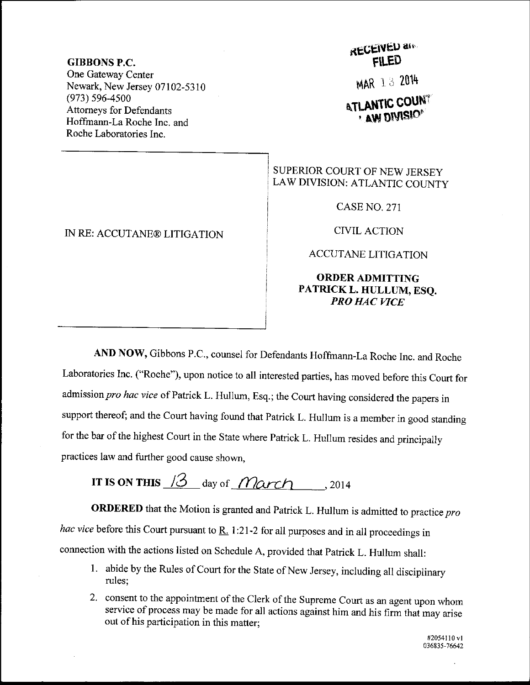## GIBBONS P.C.

One Gateway Center Newark, New Jersey 07102-5310 (973) s96-4s00 Attomeys for Defendants Hoffrnann-La Roche Inc. and Roche Laboratories Inc.

IN RE: ACCUTANE@ LITIGATION

## **RECEIVED and** FILED

MAR 1 3 2014

**ATLANTIC COUNT AW DIVISIO** 

## SUPERIOR COURT OF NEW JERSEY LAW DIVISION: ATLANTIC COUNTY

CASE NO. 271

CIVIL ACTION

ACCUTANE LITIGATION

## ORDERADMITTING PATRICK L. HULLUM, ESQ. PRO HAC VICE

AND Now, Gibbons P.c., counsel for Defendants Hoffmann-La Roche Inc. and Roche Laboratories Inc. ("Roche'), upon notice to all interested parties, has moved before this Court for admission pro hac vice of Patrick L. Hullum, Esq.; the Court having considered the papers in support thereof; and the Court having found that Patrick L. Hullum is a member in good standing for the bar of the highest Court in the State where Patrick L. Hullum resides and principally practices law and further good cause shown,

IT IS ON THIS  $13$  day of *March*, , 2014

ORDERED that the Motion is granted and Patrick L. Hullum is admitted to practice  $pro$ hac vice before this Court pursuant to  $\underline{R}$ . 1:21-2 for all purposes and in all proceedings in connection with the actions listed on Schedule A, provided that patrick L. Hullum shall:

- 1. abide by the Rules of Court for the State of New Jersey, including all disciplinary rules;
- 2. consent to the appointment of the Clerk of the Supreme Court as an agent upon whom service of process may be made for all actions against him and his firm that may arise out of his participation in this matter;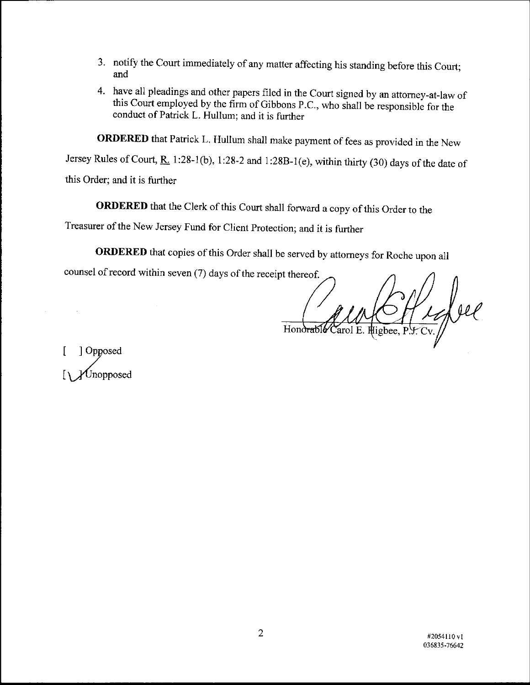- 3. notify the Court immediately of any matter affecting his standing before this Court; and
- 4. have all pleadings and other papers filed in the Court signed by an attorney-at-law of this Court employed by the firm of Gibbons P.C., who shall be responsible for the conduct of Patrick L. Hullum; and it is further

ORDERED that Patrick L. Hullum shall make payment of fees as provided in the New

Jersey Rules of Court,  $R_1$  1:28-1(b), 1:28-2 and 1:28B-1(e), within thirty (30) days of the date of

this Order; ard it is further

0RDERED that the clerk of this court shall forward a copy of this order to the

Treasurer of the New Jersey Fund for Client Protection; and it is further

ORDERED that copies of this Order shall be served by attorneys for Roche upon all

counsel of record within seven (7) days of the receipt thereof.

Sfleepel Honorable

[ ] Opposed Unopposed